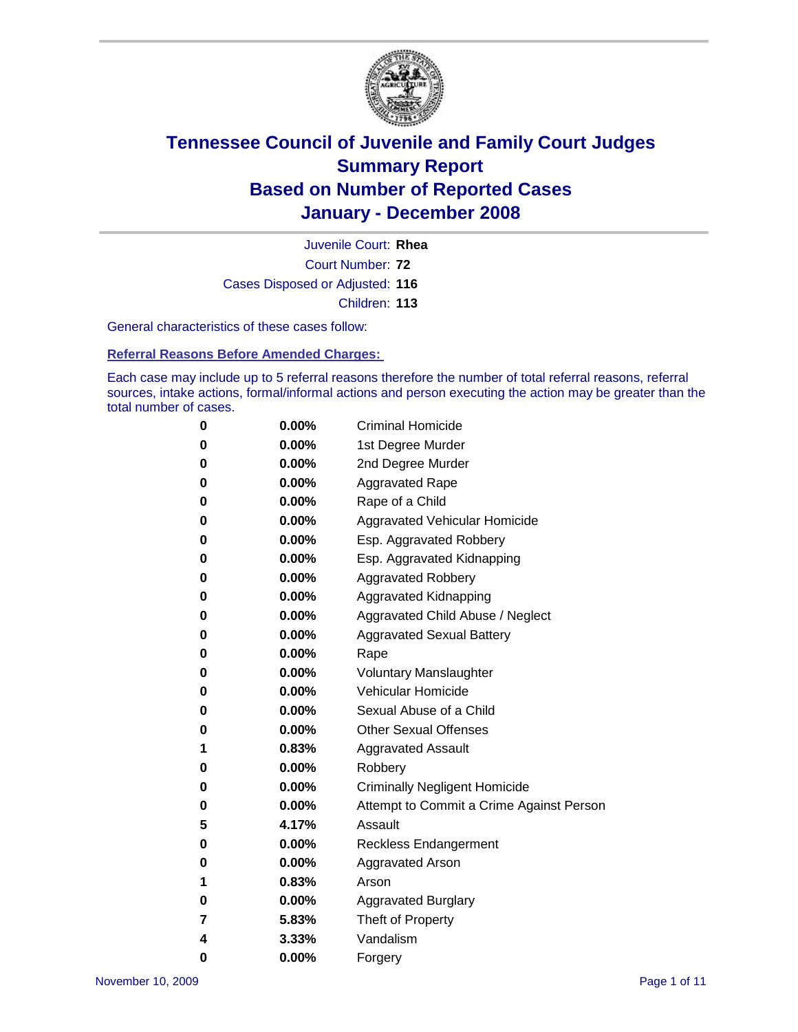

Court Number: **72** Juvenile Court: **Rhea** Cases Disposed or Adjusted: **116** Children: **113**

General characteristics of these cases follow:

**Referral Reasons Before Amended Charges:** 

Each case may include up to 5 referral reasons therefore the number of total referral reasons, referral sources, intake actions, formal/informal actions and person executing the action may be greater than the total number of cases.

| 0 | $0.00\%$ | <b>Criminal Homicide</b>                 |
|---|----------|------------------------------------------|
| 0 | 0.00%    | 1st Degree Murder                        |
| 0 | $0.00\%$ | 2nd Degree Murder                        |
| 0 | 0.00%    | <b>Aggravated Rape</b>                   |
| 0 | 0.00%    | Rape of a Child                          |
| 0 | 0.00%    | Aggravated Vehicular Homicide            |
| 0 | 0.00%    | Esp. Aggravated Robbery                  |
| 0 | $0.00\%$ | Esp. Aggravated Kidnapping               |
| 0 | 0.00%    | <b>Aggravated Robbery</b>                |
| 0 | $0.00\%$ | Aggravated Kidnapping                    |
| 0 | $0.00\%$ | Aggravated Child Abuse / Neglect         |
| 0 | $0.00\%$ | <b>Aggravated Sexual Battery</b>         |
| 0 | 0.00%    | Rape                                     |
| 0 | $0.00\%$ | <b>Voluntary Manslaughter</b>            |
| 0 | 0.00%    | Vehicular Homicide                       |
| 0 | 0.00%    | Sexual Abuse of a Child                  |
| 0 | $0.00\%$ | <b>Other Sexual Offenses</b>             |
| 1 | 0.83%    | <b>Aggravated Assault</b>                |
| 0 | $0.00\%$ | Robbery                                  |
| 0 | 0.00%    | <b>Criminally Negligent Homicide</b>     |
| 0 | 0.00%    | Attempt to Commit a Crime Against Person |
| 5 | 4.17%    | Assault                                  |
| 0 | 0.00%    | Reckless Endangerment                    |
| 0 | 0.00%    | Aggravated Arson                         |
| 1 | 0.83%    | Arson                                    |
| 0 | 0.00%    | <b>Aggravated Burglary</b>               |
| 7 | 5.83%    | Theft of Property                        |
| 4 | 3.33%    | Vandalism                                |
| 0 | $0.00\%$ | Forgery                                  |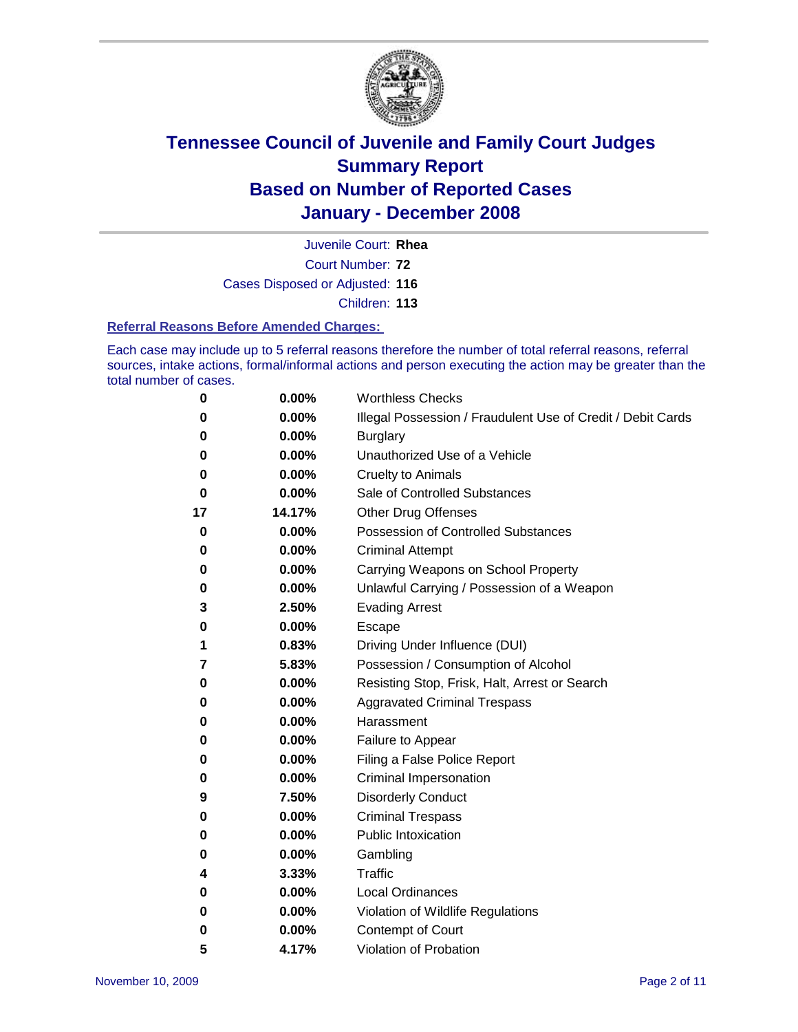

Court Number: **72** Juvenile Court: **Rhea** Cases Disposed or Adjusted: **116** Children: **113**

#### **Referral Reasons Before Amended Charges:**

Each case may include up to 5 referral reasons therefore the number of total referral reasons, referral sources, intake actions, formal/informal actions and person executing the action may be greater than the total number of cases.

| 0  | 0.00%  | <b>Worthless Checks</b>                                     |
|----|--------|-------------------------------------------------------------|
| 0  | 0.00%  | Illegal Possession / Fraudulent Use of Credit / Debit Cards |
| 0  | 0.00%  | <b>Burglary</b>                                             |
| 0  | 0.00%  | Unauthorized Use of a Vehicle                               |
| 0  | 0.00%  | <b>Cruelty to Animals</b>                                   |
| 0  | 0.00%  | Sale of Controlled Substances                               |
| 17 | 14.17% | <b>Other Drug Offenses</b>                                  |
| 0  | 0.00%  | <b>Possession of Controlled Substances</b>                  |
| 0  | 0.00%  | <b>Criminal Attempt</b>                                     |
| 0  | 0.00%  | Carrying Weapons on School Property                         |
| 0  | 0.00%  | Unlawful Carrying / Possession of a Weapon                  |
| 3  | 2.50%  | <b>Evading Arrest</b>                                       |
| 0  | 0.00%  | Escape                                                      |
| 1  | 0.83%  | Driving Under Influence (DUI)                               |
| 7  | 5.83%  | Possession / Consumption of Alcohol                         |
| 0  | 0.00%  | Resisting Stop, Frisk, Halt, Arrest or Search               |
| 0  | 0.00%  | <b>Aggravated Criminal Trespass</b>                         |
| 0  | 0.00%  | Harassment                                                  |
| 0  | 0.00%  | Failure to Appear                                           |
| 0  | 0.00%  | Filing a False Police Report                                |
| 0  | 0.00%  | Criminal Impersonation                                      |
| 9  | 7.50%  | <b>Disorderly Conduct</b>                                   |
| 0  | 0.00%  | <b>Criminal Trespass</b>                                    |
| 0  | 0.00%  | <b>Public Intoxication</b>                                  |
| 0  | 0.00%  | Gambling                                                    |
| 4  | 3.33%  | Traffic                                                     |
| 0  | 0.00%  | <b>Local Ordinances</b>                                     |
| 0  | 0.00%  | Violation of Wildlife Regulations                           |
| 0  | 0.00%  | Contempt of Court                                           |
| 5  | 4.17%  | Violation of Probation                                      |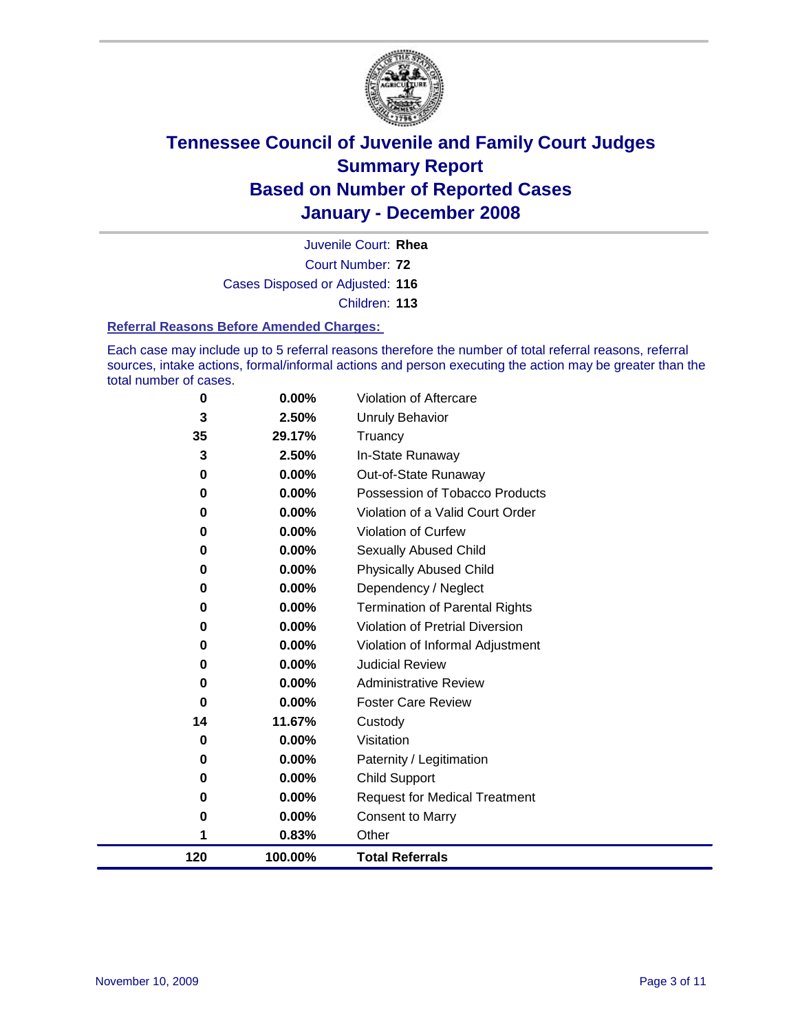

Court Number: **72** Juvenile Court: **Rhea** Cases Disposed or Adjusted: **116** Children: **113**

#### **Referral Reasons Before Amended Charges:**

Each case may include up to 5 referral reasons therefore the number of total referral reasons, referral sources, intake actions, formal/informal actions and person executing the action may be greater than the total number of cases.

| 0        | 0.00%   | Violation of Aftercare                 |
|----------|---------|----------------------------------------|
| 3        | 2.50%   | <b>Unruly Behavior</b>                 |
| 35       | 29.17%  | Truancy                                |
| 3        | 2.50%   | In-State Runaway                       |
| 0        | 0.00%   | Out-of-State Runaway                   |
| 0        | 0.00%   | Possession of Tobacco Products         |
| 0        | 0.00%   | Violation of a Valid Court Order       |
| 0        | 0.00%   | Violation of Curfew                    |
| 0        | 0.00%   | Sexually Abused Child                  |
| 0        | 0.00%   | <b>Physically Abused Child</b>         |
| 0        | 0.00%   | Dependency / Neglect                   |
| $\bf{0}$ | 0.00%   | <b>Termination of Parental Rights</b>  |
| 0        | 0.00%   | <b>Violation of Pretrial Diversion</b> |
| 0        | 0.00%   | Violation of Informal Adjustment       |
| 0        | 0.00%   | <b>Judicial Review</b>                 |
| 0        | 0.00%   | <b>Administrative Review</b>           |
| 0        | 0.00%   | <b>Foster Care Review</b>              |
| 14       | 11.67%  | Custody                                |
| 0        | 0.00%   | Visitation                             |
| 0        | 0.00%   | Paternity / Legitimation               |
| 0        | 0.00%   | <b>Child Support</b>                   |
| 0        | 0.00%   | <b>Request for Medical Treatment</b>   |
| 0        | 0.00%   | <b>Consent to Marry</b>                |
| 1        | 0.83%   | Other                                  |
| 120      | 100.00% | <b>Total Referrals</b>                 |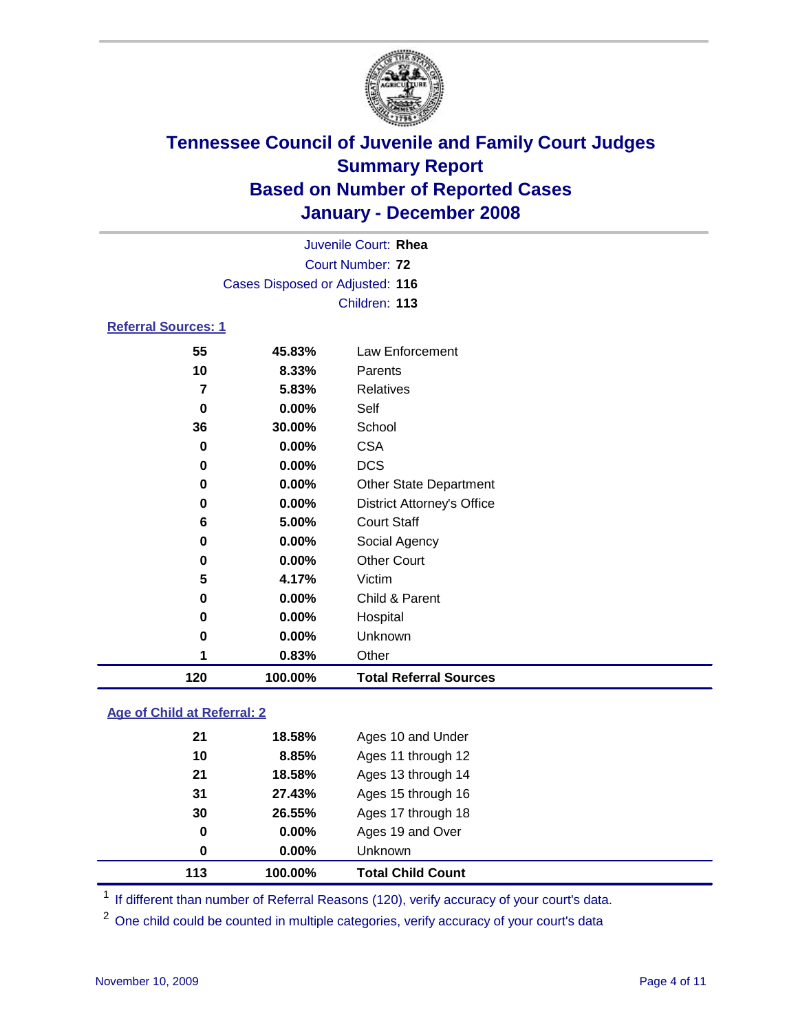

|                            | Juvenile Court: Rhea            |                                   |  |  |  |
|----------------------------|---------------------------------|-----------------------------------|--|--|--|
|                            |                                 | Court Number: 72                  |  |  |  |
|                            | Cases Disposed or Adjusted: 116 |                                   |  |  |  |
|                            | Children: 113                   |                                   |  |  |  |
| <b>Referral Sources: 1</b> |                                 |                                   |  |  |  |
| 55                         | 45.83%                          | Law Enforcement                   |  |  |  |
| 10                         | 8.33%                           | Parents                           |  |  |  |
| $\overline{\mathbf{z}}$    | 5.83%                           | <b>Relatives</b>                  |  |  |  |
| $\bf{0}$                   | 0.00%                           | Self                              |  |  |  |
| 36                         | 30.00%                          | School                            |  |  |  |
| 0                          | 0.00%                           | <b>CSA</b>                        |  |  |  |
| 0                          | 0.00%                           | <b>DCS</b>                        |  |  |  |
| 0                          | 0.00%                           | <b>Other State Department</b>     |  |  |  |
| 0                          | 0.00%                           | <b>District Attorney's Office</b> |  |  |  |
| 6                          | 5.00%                           | <b>Court Staff</b>                |  |  |  |
| 0                          | 0.00%                           | Social Agency                     |  |  |  |
| 0                          | 0.00%                           | <b>Other Court</b>                |  |  |  |
| 5                          | 4.17%                           | Victim                            |  |  |  |
| 0                          | 0.00%                           | Child & Parent                    |  |  |  |
| 0                          | 0.00%                           | Hospital                          |  |  |  |
| 0                          | 0.00%                           | Unknown                           |  |  |  |
| 1                          | 0.83%                           | Other                             |  |  |  |
| 120                        | 100.00%                         | <b>Total Referral Sources</b>     |  |  |  |

### **Age of Child at Referral: 2**

| 113 | 100.00%  | <b>Total Child Count</b> |
|-----|----------|--------------------------|
| 0   | $0.00\%$ | <b>Unknown</b>           |
| 0   | $0.00\%$ | Ages 19 and Over         |
| 30  | 26.55%   | Ages 17 through 18       |
| 31  | 27.43%   | Ages 15 through 16       |
| 21  | 18.58%   | Ages 13 through 14       |
| 10  | 8.85%    | Ages 11 through 12       |
| 21  | 18.58%   | Ages 10 and Under        |
|     |          |                          |

<sup>1</sup> If different than number of Referral Reasons (120), verify accuracy of your court's data.

<sup>2</sup> One child could be counted in multiple categories, verify accuracy of your court's data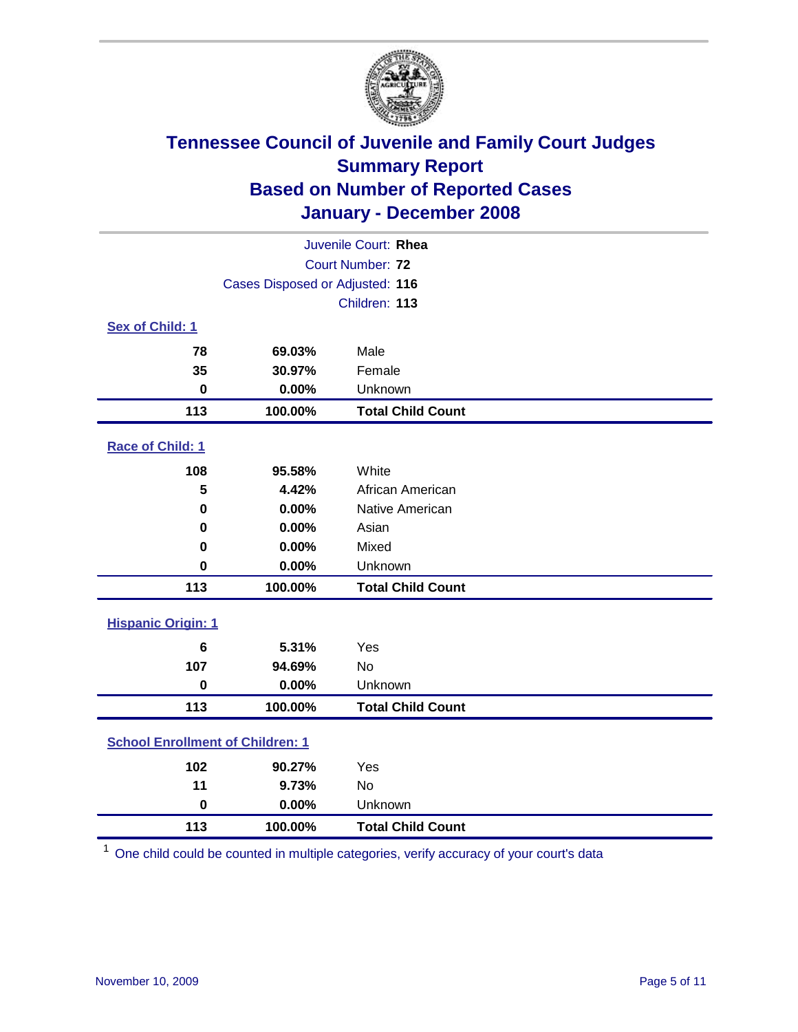

| Juvenile Court: Rhea                    |                                 |                          |  |  |  |
|-----------------------------------------|---------------------------------|--------------------------|--|--|--|
| Court Number: 72                        |                                 |                          |  |  |  |
|                                         | Cases Disposed or Adjusted: 116 |                          |  |  |  |
|                                         | Children: 113                   |                          |  |  |  |
| Sex of Child: 1                         |                                 |                          |  |  |  |
| 78                                      | 69.03%                          | Male                     |  |  |  |
| 35                                      | 30.97%                          | Female                   |  |  |  |
| $\bf{0}$                                | 0.00%                           | Unknown                  |  |  |  |
| 113                                     | 100.00%                         | <b>Total Child Count</b> |  |  |  |
| <b>Race of Child: 1</b>                 |                                 |                          |  |  |  |
| 108                                     | 95.58%                          | White                    |  |  |  |
| 5                                       | 4.42%                           | African American         |  |  |  |
| 0                                       | 0.00%                           | Native American          |  |  |  |
| 0                                       | 0.00%                           | Asian                    |  |  |  |
| 0                                       | 0.00%                           | Mixed                    |  |  |  |
| $\bf{0}$                                | 0.00%                           | Unknown                  |  |  |  |
| 113                                     | 100.00%                         | <b>Total Child Count</b> |  |  |  |
| <b>Hispanic Origin: 1</b>               |                                 |                          |  |  |  |
| $6\phantom{1}$                          | 5.31%                           | Yes                      |  |  |  |
| 107                                     | 94.69%                          | No                       |  |  |  |
| $\mathbf 0$                             | 0.00%                           | Unknown                  |  |  |  |
| 113                                     | 100.00%                         | <b>Total Child Count</b> |  |  |  |
| <b>School Enrollment of Children: 1</b> |                                 |                          |  |  |  |
| 102                                     | 90.27%                          | Yes                      |  |  |  |
| 11                                      | 9.73%                           | No                       |  |  |  |
| $\bf{0}$                                | 0.00%                           | Unknown                  |  |  |  |
| 113                                     | 100.00%                         | <b>Total Child Count</b> |  |  |  |

One child could be counted in multiple categories, verify accuracy of your court's data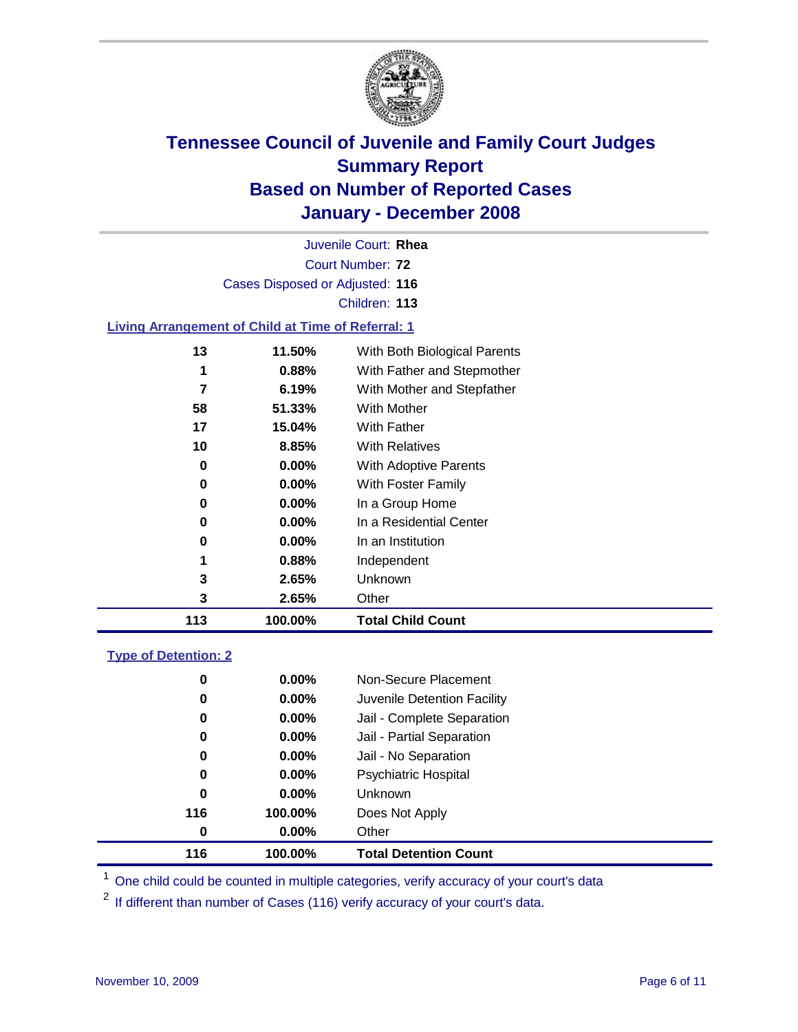

|                                                           |                                 | Juvenile Court: Rhea         |  |  |  |
|-----------------------------------------------------------|---------------------------------|------------------------------|--|--|--|
| Court Number: 72                                          |                                 |                              |  |  |  |
|                                                           | Cases Disposed or Adjusted: 116 |                              |  |  |  |
|                                                           |                                 | Children: 113                |  |  |  |
| <b>Living Arrangement of Child at Time of Referral: 1</b> |                                 |                              |  |  |  |
| 13                                                        | 11.50%                          | With Both Biological Parents |  |  |  |
| 1                                                         | 0.88%                           | With Father and Stepmother   |  |  |  |
|                                                           | 6.19%                           | With Mother and Stepfather   |  |  |  |
| 58                                                        | 51.33%                          | With Mother                  |  |  |  |
| 17                                                        | 15.04%                          | With Father                  |  |  |  |
| 10                                                        | 8.85%                           | <b>With Relatives</b>        |  |  |  |
| 0                                                         | $0.00\%$                        | With Adoptive Parents        |  |  |  |
| 0                                                         | $0.00\%$                        | <b>With Foster Family</b>    |  |  |  |

 **0.00%** In a Group Home **0.00%** In a Residential Center

 **0.00%** In an Institution **0.88%** Independent **2.65%** Unknown

**100.00% Total Child Count**

**2.65%** Other

### **Type of Detention: 2**

| 116 | 100.00%  | <b>Total Detention Count</b> |
|-----|----------|------------------------------|
| 0   | 0.00%    | Other                        |
| 116 | 100.00%  | Does Not Apply               |
| 0   | $0.00\%$ | <b>Unknown</b>               |
| 0   | 0.00%    | <b>Psychiatric Hospital</b>  |
| 0   | $0.00\%$ | Jail - No Separation         |
| 0   | 0.00%    | Jail - Partial Separation    |
| 0   | 0.00%    | Jail - Complete Separation   |
| 0   | 0.00%    | Juvenile Detention Facility  |
| 0   | $0.00\%$ | Non-Secure Placement         |
|     |          |                              |

<sup>1</sup> One child could be counted in multiple categories, verify accuracy of your court's data

<sup>2</sup> If different than number of Cases (116) verify accuracy of your court's data.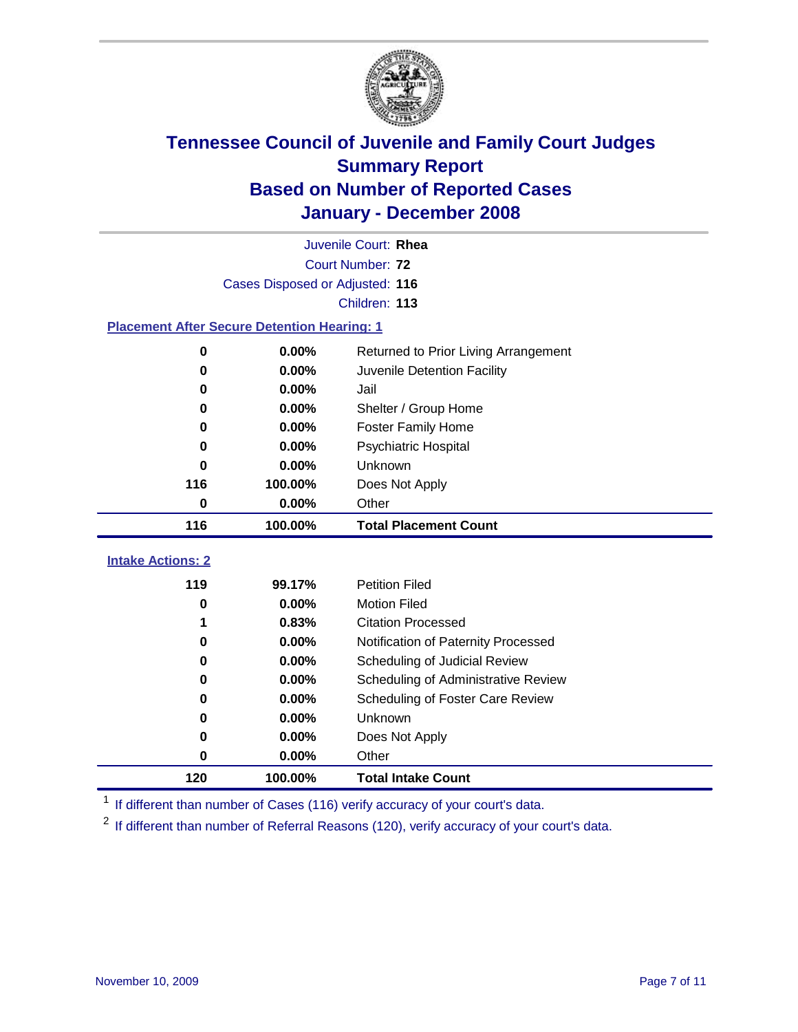

|                                                    | Juvenile Court: Rhea            |                                      |  |  |  |
|----------------------------------------------------|---------------------------------|--------------------------------------|--|--|--|
|                                                    | Court Number: 72                |                                      |  |  |  |
|                                                    | Cases Disposed or Adjusted: 116 |                                      |  |  |  |
|                                                    |                                 | Children: 113                        |  |  |  |
| <b>Placement After Secure Detention Hearing: 1</b> |                                 |                                      |  |  |  |
| $\bf{0}$                                           | 0.00%                           | Returned to Prior Living Arrangement |  |  |  |
| 0                                                  | 0.00%                           | Juvenile Detention Facility          |  |  |  |
| 0                                                  | 0.00%                           | Jail                                 |  |  |  |
| 0                                                  | 0.00%                           | Shelter / Group Home                 |  |  |  |
| 0                                                  | 0.00%                           | <b>Foster Family Home</b>            |  |  |  |
| 0                                                  | 0.00%                           | Psychiatric Hospital                 |  |  |  |
| 0                                                  | 0.00%                           | Unknown                              |  |  |  |
| 116                                                | 100.00%                         | Does Not Apply                       |  |  |  |
| 0                                                  | 0.00%                           | Other                                |  |  |  |
|                                                    |                                 |                                      |  |  |  |
| 116                                                | 100.00%                         | <b>Total Placement Count</b>         |  |  |  |
| <b>Intake Actions: 2</b>                           |                                 |                                      |  |  |  |
| 119                                                | 99.17%                          | <b>Petition Filed</b>                |  |  |  |
| 0                                                  | 0.00%                           | <b>Motion Filed</b>                  |  |  |  |
|                                                    | 0.83%                           | <b>Citation Processed</b>            |  |  |  |
| 0                                                  | 0.00%                           | Notification of Paternity Processed  |  |  |  |
| 0                                                  | 0.00%                           | Scheduling of Judicial Review        |  |  |  |
| $\bf{0}$                                           | 0.00%                           | Scheduling of Administrative Review  |  |  |  |
| 0                                                  | 0.00%                           | Scheduling of Foster Care Review     |  |  |  |
| $\bf{0}$                                           | 0.00%                           | Unknown                              |  |  |  |
| 0                                                  | 0.00%                           | Does Not Apply                       |  |  |  |
| $\pmb{0}$                                          | 0.00%                           | Other                                |  |  |  |

<sup>1</sup> If different than number of Cases (116) verify accuracy of your court's data.

<sup>2</sup> If different than number of Referral Reasons (120), verify accuracy of your court's data.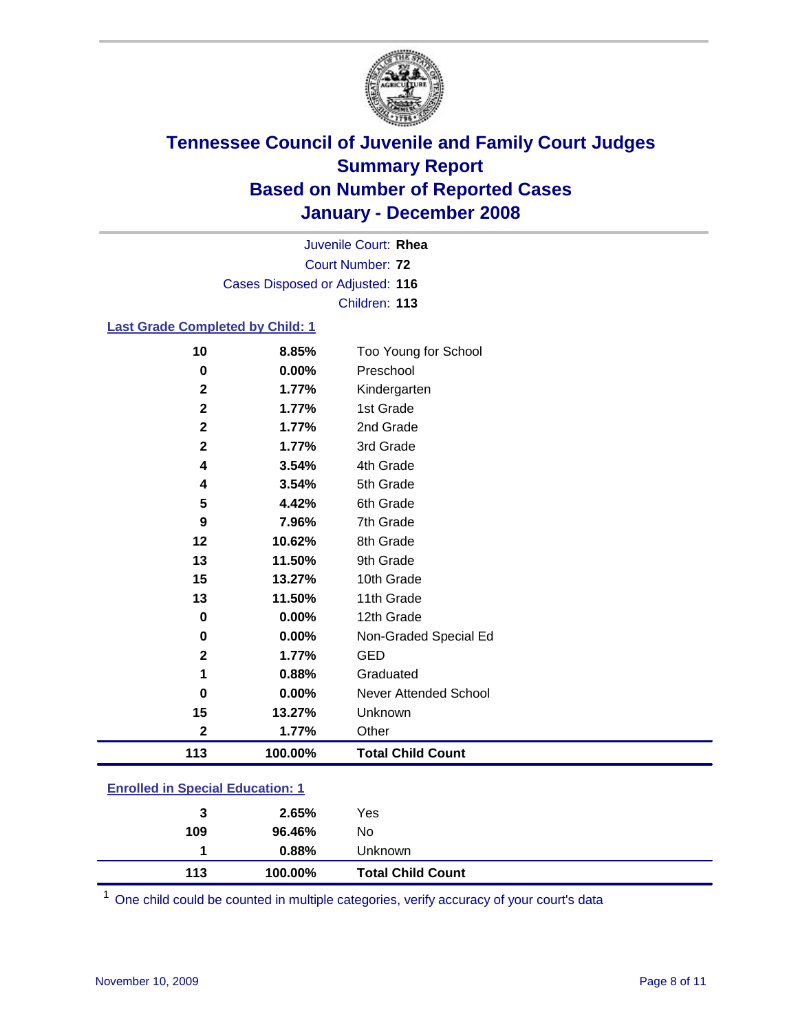

Court Number: **72** Juvenile Court: **Rhea** Cases Disposed or Adjusted: **116** Children: **113**

### **Last Grade Completed by Child: 1**

| 9           | 7.96%   | 7th Grade                |
|-------------|---------|--------------------------|
| 5           | 4.42%   | 6th Grade                |
|             |         |                          |
| 12          | 10.62%  | 8th Grade                |
| 13          | 11.50%  | 9th Grade                |
| 15          | 13.27%  | 10th Grade               |
| 13          | 11.50%  | 11th Grade               |
| $\bf{0}$    | 0.00%   | 12th Grade               |
| 0           | 0.00%   | Non-Graded Special Ed    |
| $\mathbf 2$ | 1.77%   | <b>GED</b>               |
| 1           | 0.88%   | Graduated                |
| $\bf{0}$    | 0.00%   | Never Attended School    |
|             |         |                          |
| 15          | 13.27%  | Unknown                  |
| $\mathbf 2$ | 1.77%   | Other                    |
| 113         | 100.00% | <b>Total Child Count</b> |

### **Enrolled in Special Education: 1**

| 113 | 0.88%<br>100.00% | Unknown<br><b>Total Child Count</b> |  |
|-----|------------------|-------------------------------------|--|
| 109 | 96.46%           | No                                  |  |
| 3   | 2.65%            | Yes                                 |  |

<sup>1</sup> One child could be counted in multiple categories, verify accuracy of your court's data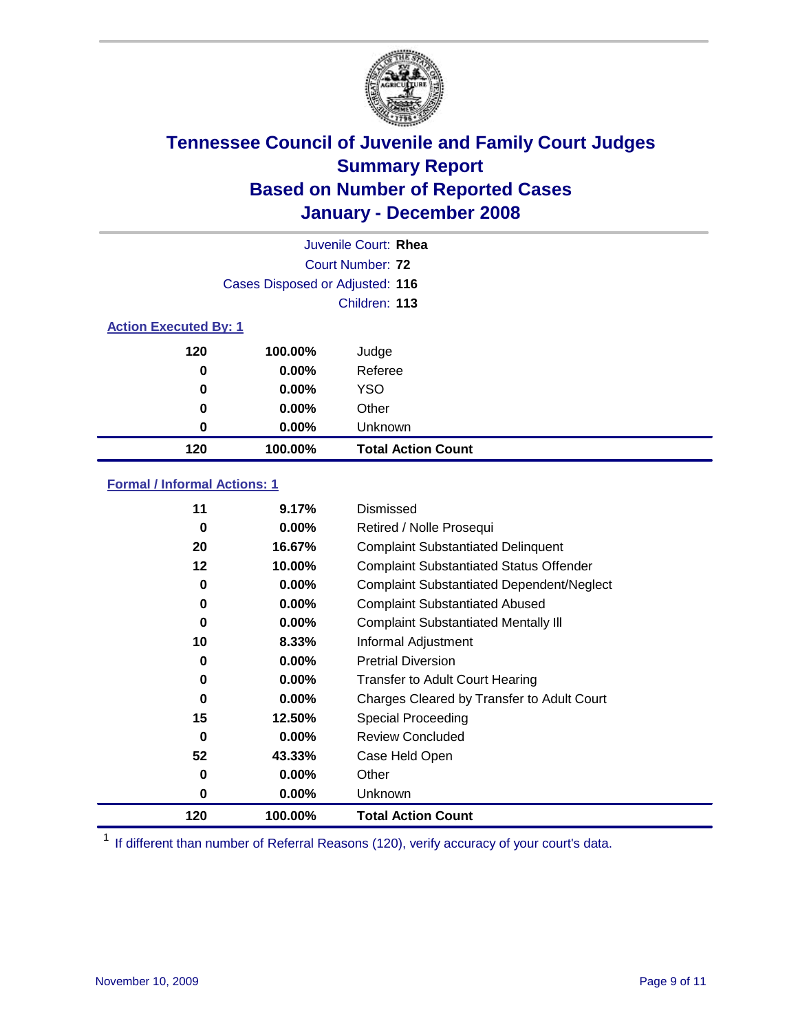

| Juvenile Court: Rhea         |                                 |                           |  |  |  |
|------------------------------|---------------------------------|---------------------------|--|--|--|
|                              | Court Number: 72                |                           |  |  |  |
|                              | Cases Disposed or Adjusted: 116 |                           |  |  |  |
|                              | Children: 113                   |                           |  |  |  |
| <b>Action Executed By: 1</b> |                                 |                           |  |  |  |
| 120                          | 100.00%                         | Judge                     |  |  |  |
| 0                            | $0.00\%$                        | Referee                   |  |  |  |
| 0                            | 0.00%                           | <b>YSO</b>                |  |  |  |
| 0                            | 0.00%                           | Other                     |  |  |  |
| 0                            | 0.00%                           | Unknown                   |  |  |  |
| 120                          | 100.00%                         | <b>Total Action Count</b> |  |  |  |

### **Formal / Informal Actions: 1**

| 11  | 9.17%    | Dismissed                                        |
|-----|----------|--------------------------------------------------|
| 0   | $0.00\%$ | Retired / Nolle Prosequi                         |
| 20  | 16.67%   | <b>Complaint Substantiated Delinquent</b>        |
| 12  | 10.00%   | <b>Complaint Substantiated Status Offender</b>   |
| 0   | 0.00%    | <b>Complaint Substantiated Dependent/Neglect</b> |
| 0   | $0.00\%$ | <b>Complaint Substantiated Abused</b>            |
| 0   | $0.00\%$ | <b>Complaint Substantiated Mentally III</b>      |
| 10  | 8.33%    | Informal Adjustment                              |
| 0   | $0.00\%$ | <b>Pretrial Diversion</b>                        |
| 0   | $0.00\%$ | <b>Transfer to Adult Court Hearing</b>           |
| 0   | $0.00\%$ | Charges Cleared by Transfer to Adult Court       |
| 15  | 12.50%   | Special Proceeding                               |
| 0   | $0.00\%$ | <b>Review Concluded</b>                          |
| 52  | 43.33%   | Case Held Open                                   |
| 0   | $0.00\%$ | Other                                            |
| 0   | $0.00\%$ | <b>Unknown</b>                                   |
| 120 | 100.00%  | <b>Total Action Count</b>                        |

<sup>1</sup> If different than number of Referral Reasons (120), verify accuracy of your court's data.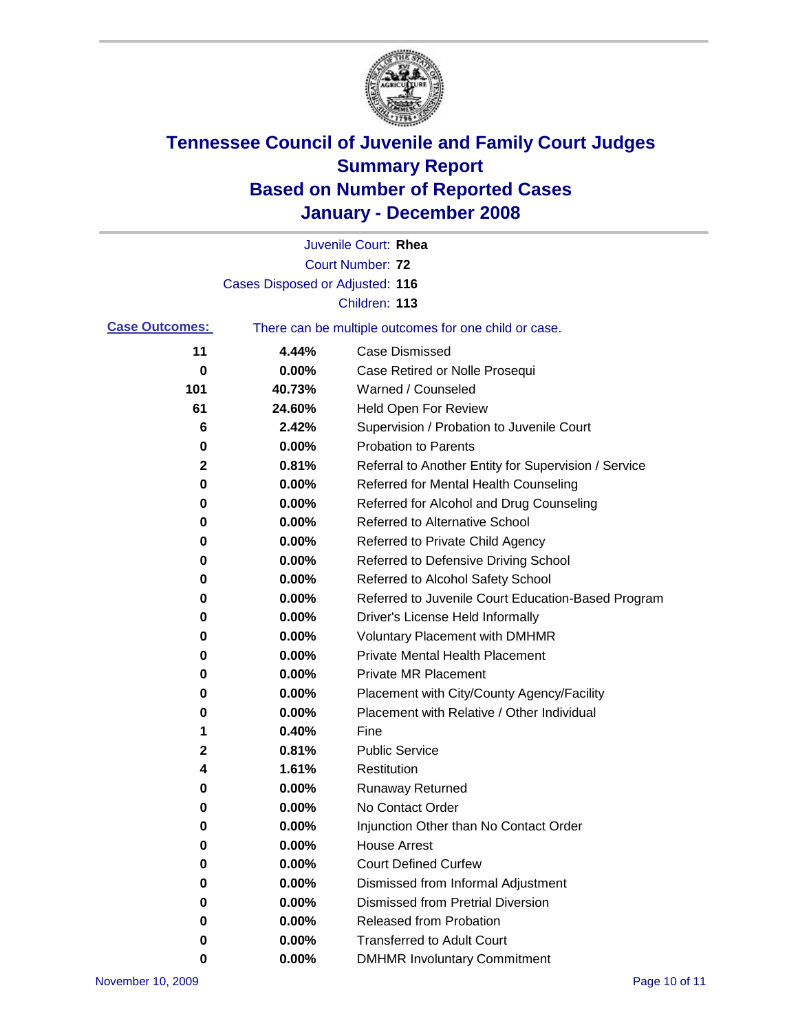

|                       |                                                       | Juvenile Court: Rhea                                 |
|-----------------------|-------------------------------------------------------|------------------------------------------------------|
|                       |                                                       | Court Number: 72                                     |
|                       | Cases Disposed or Adjusted: 116                       |                                                      |
|                       |                                                       | Children: 113                                        |
| <b>Case Outcomes:</b> | There can be multiple outcomes for one child or case. |                                                      |
| 11                    | 4.44%                                                 | <b>Case Dismissed</b>                                |
| 0                     | 0.00%                                                 | Case Retired or Nolle Prosequi                       |
| 101                   | 40.73%                                                | Warned / Counseled                                   |
| 61                    | 24.60%                                                | <b>Held Open For Review</b>                          |
| 6                     | 2.42%                                                 | Supervision / Probation to Juvenile Court            |
| 0                     | 0.00%                                                 | <b>Probation to Parents</b>                          |
| 2                     | 0.81%                                                 | Referral to Another Entity for Supervision / Service |
| 0                     | 0.00%                                                 | Referred for Mental Health Counseling                |
| 0                     | 0.00%                                                 | Referred for Alcohol and Drug Counseling             |
| 0                     | 0.00%                                                 | Referred to Alternative School                       |
| 0                     | 0.00%                                                 | Referred to Private Child Agency                     |
| 0                     | 0.00%                                                 | Referred to Defensive Driving School                 |
| 0                     | 0.00%                                                 | Referred to Alcohol Safety School                    |
| 0                     | 0.00%                                                 | Referred to Juvenile Court Education-Based Program   |
| 0                     | 0.00%                                                 | Driver's License Held Informally                     |
| 0                     | 0.00%                                                 | <b>Voluntary Placement with DMHMR</b>                |
| 0                     | 0.00%                                                 | Private Mental Health Placement                      |
| 0                     | 0.00%                                                 | <b>Private MR Placement</b>                          |
| 0                     | 0.00%                                                 | Placement with City/County Agency/Facility           |
| 0                     | 0.00%                                                 | Placement with Relative / Other Individual           |
| 1                     | 0.40%                                                 | Fine                                                 |
| 2                     | 0.81%                                                 | <b>Public Service</b>                                |
| 4                     | 1.61%                                                 | Restitution                                          |
| 0                     | 0.00%                                                 | <b>Runaway Returned</b>                              |
| 0                     | 0.00%                                                 | No Contact Order                                     |
| 0                     | 0.00%                                                 | Injunction Other than No Contact Order               |
| 0                     | 0.00%                                                 | <b>House Arrest</b>                                  |
| 0                     | 0.00%                                                 | <b>Court Defined Curfew</b>                          |
| 0                     | 0.00%                                                 | Dismissed from Informal Adjustment                   |
| 0                     | 0.00%                                                 | <b>Dismissed from Pretrial Diversion</b>             |
| 0                     | 0.00%                                                 | Released from Probation                              |
| 0                     | 0.00%                                                 | <b>Transferred to Adult Court</b>                    |
| 0                     | 0.00%                                                 | <b>DMHMR Involuntary Commitment</b>                  |